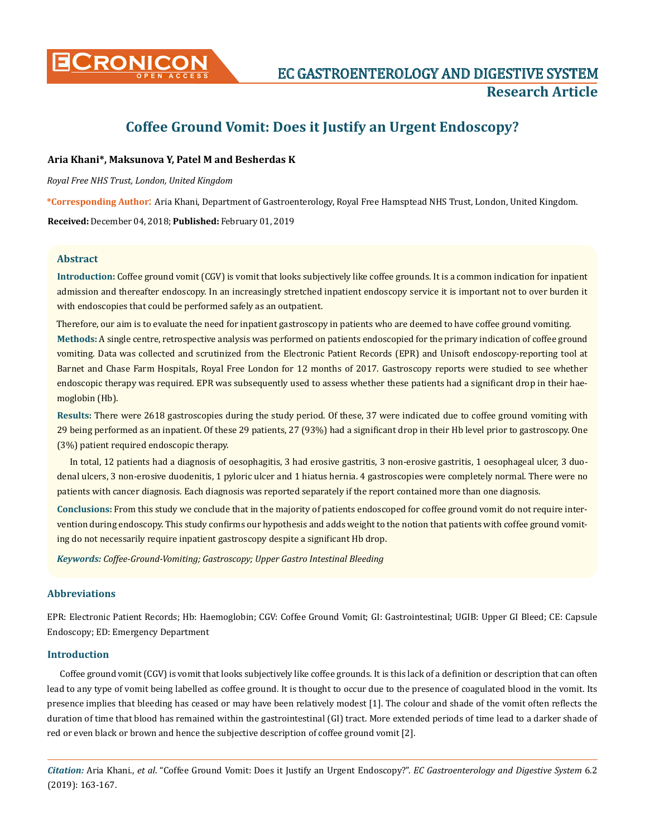

# **Coffee Ground Vomit: Does it Justify an Urgent Endoscopy?**

### **Aria Khani\*, Maksunova Y, Patel M and Besherdas K**

*Royal Free NHS Trust, London, United Kingdom* 

**\*Corresponding Author**: Aria Khani, Department of Gastroenterology, Royal Free Hamsptead NHS Trust, London, United Kingdom.

**Received:** December 04, 2018; **Published:** February 01, 2019

#### **Abstract**

**Introduction:** Coffee ground vomit (CGV) is vomit that looks subjectively like coffee grounds. It is a common indication for inpatient admission and thereafter endoscopy. In an increasingly stretched inpatient endoscopy service it is important not to over burden it with endoscopies that could be performed safely as an outpatient.

**Methods:** A single centre, retrospective analysis was performed on patients endoscopied for the primary indication of coffee ground vomiting. Data was collected and scrutinized from the Electronic Patient Records (EPR) and Unisoft endoscopy-reporting tool at Barnet and Chase Farm Hospitals, Royal Free London for 12 months of 2017. Gastroscopy reports were studied to see whether endoscopic therapy was required. EPR was subsequently used to assess whether these patients had a significant drop in their haemoglobin (Hb). Therefore, our aim is to evaluate the need for inpatient gastroscopy in patients who are deemed to have coffee ground vomiting.

**Results:** There were 2618 gastroscopies during the study period. Of these, 37 were indicated due to coffee ground vomiting with 29 being performed as an inpatient. Of these 29 patients, 27 (93%) had a significant drop in their Hb level prior to gastroscopy. One (3%) patient required endoscopic therapy.

In total, 12 patients had a diagnosis of oesophagitis, 3 had erosive gastritis, 3 non-erosive gastritis, 1 oesophageal ulcer, 3 duodenal ulcers, 3 non-erosive duodenitis, 1 pyloric ulcer and 1 hiatus hernia. 4 gastroscopies were completely normal. There were no patients with cancer diagnosis. Each diagnosis was reported separately if the report contained more than one diagnosis.

**Conclusions:** From this study we conclude that in the majority of patients endoscoped for coffee ground vomit do not require intervention during endoscopy. This study confirms our hypothesis and adds weight to the notion that patients with coffee ground vomiting do not necessarily require inpatient gastroscopy despite a significant Hb drop.

*Keywords: Coffee-Ground-Vomiting; Gastroscopy; Upper Gastro Intestinal Bleeding* 

#### **Abbreviations**

EPR: Electronic Patient Records; Hb: Haemoglobin; CGV: Coffee Ground Vomit; GI: Gastrointestinal; UGIB: Upper GI Bleed; CE: Capsule Endoscopy; ED: Emergency Department

## **Introduction**

Coffee ground vomit (CGV) is vomit that looks subjectively like coffee grounds. It is this lack of a definition or description that can often lead to any type of vomit being labelled as coffee ground. It is thought to occur due to the presence of coagulated blood in the vomit. Its presence implies that bleeding has ceased or may have been relatively modest [1]. The colour and shade of the vomit often reflects the duration of time that blood has remained within the gastrointestinal (GI) tract. More extended periods of time lead to a darker shade of red or even black or brown and hence the subjective description of coffee ground vomit [2].

*Citation:* Aria Khani., *et al*. "Coffee Ground Vomit: Does it Justify an Urgent Endoscopy?". *EC Gastroenterology and Digestive System* 6.2 (2019): 163-167.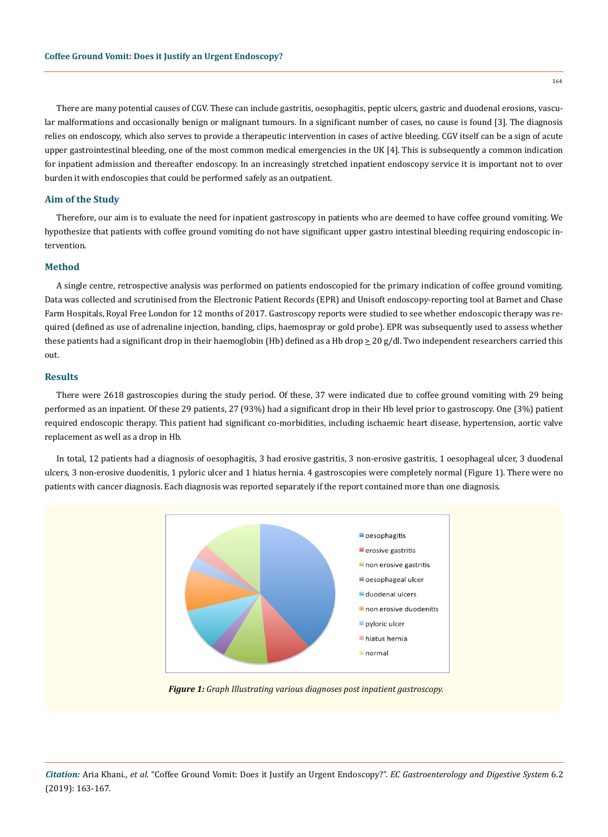There are many potential causes of CGV. These can include gastritis, oesophagitis, peptic ulcers, gastric and duodenal erosions, vascular malformations and occasionally benign or malignant tumours. In a significant number of cases, no cause is found [3]. The diagnosis relies on endoscopy, which also serves to provide a therapeutic intervention in cases of active bleeding. CGV itself can be a sign of acute upper gastrointestinal bleeding, one of the most common medical emergencies in the UK [4]. This is subsequently a common indication for inpatient admission and thereafter endoscopy. In an increasingly stretched inpatient endoscopy service it is important not to over burden it with endoscopies that could be performed safely as an outpatient.

## **Aim of the Study**

Therefore, our aim is to evaluate the need for inpatient gastroscopy in patients who are deemed to have coffee ground vomiting. We hypothesize that patients with coffee ground vomiting do not have significant upper gastro intestinal bleeding requiring endoscopic intervention.

#### **Method**

A single centre, retrospective analysis was performed on patients endoscopied for the primary indication of coffee ground vomiting. Data was collected and scrutinised from the Electronic Patient Records (EPR) and Unisoft endoscopy-reporting tool at Barnet and Chase Farm Hospitals, Royal Free London for 12 months of 2017. Gastroscopy reports were studied to see whether endoscopic therapy was required (defined as use of adrenaline injection, banding, clips, haemospray or gold probe). EPR was subsequently used to assess whether these patients had a significant drop in their haemoglobin (Hb) defined as a Hb drop  $\geq 20$  g/dl. Two independent researchers carried this out.

#### **Results**

There were 2618 gastroscopies during the study period. Of these, 37 were indicated due to coffee ground vomiting with 29 being performed as an inpatient. Of these 29 patients, 27 (93%) had a significant drop in their Hb level prior to gastroscopy. One (3%) patient required endoscopic therapy. This patient had significant co-morbidities, including ischaemic heart disease, hypertension, aortic valve replacement as well as a drop in Hb.

In total, 12 patients had a diagnosis of oesophagitis, 3 had erosive gastritis, 3 non-erosive gastritis, 1 oesophageal ulcer, 3 duodenal ulcers, 3 non-erosive duodenitis, 1 pyloric ulcer and 1 hiatus hernia. 4 gastroscopies were completely normal (Figure 1). There were no patients with cancer diagnosis. Each diagnosis was reported separately if the report contained more than one diagnosis.



*Figure 1: Graph Illustrating various diagnoses post inpatient gastroscopy.*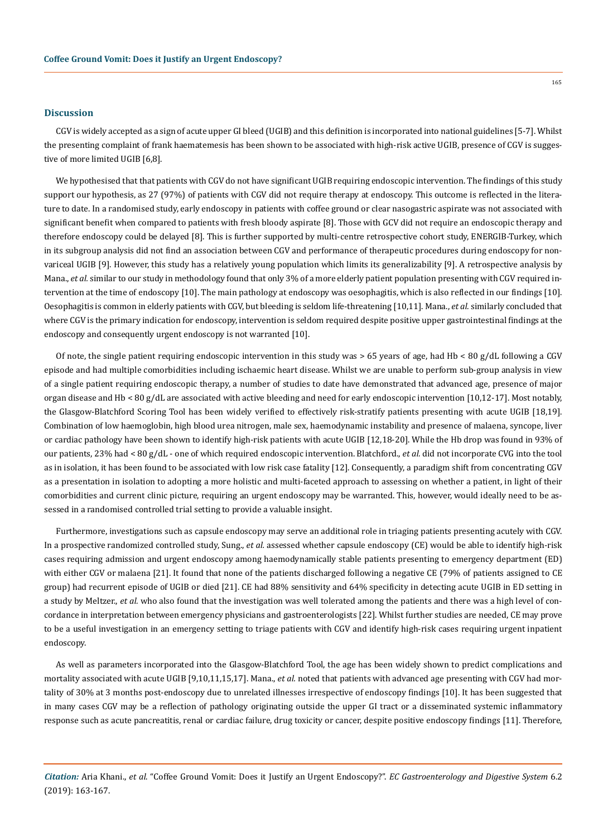# **Discussion**

CGV is widely accepted as a sign of acute upper GI bleed (UGIB) and this definition is incorporated into national guidelines [5-7]. Whilst the presenting complaint of frank haematemesis has been shown to be associated with high-risk active UGIB, presence of CGV is suggestive of more limited UGIB [6,8].

We hypothesised that that patients with CGV do not have significant UGIB requiring endoscopic intervention. The findings of this study support our hypothesis, as 27 (97%) of patients with CGV did not require therapy at endoscopy. This outcome is reflected in the literature to date. In a randomised study, early endoscopy in patients with coffee ground or clear nasogastric aspirate was not associated with significant benefit when compared to patients with fresh bloody aspirate [8]. Those with GCV did not require an endoscopic therapy and therefore endoscopy could be delayed [8]. This is further supported by multi-centre retrospective cohort study, ENERGIB-Turkey, which in its subgroup analysis did not find an association between CGV and performance of therapeutic procedures during endoscopy for nonvariceal UGIB [9]. However, this study has a relatively young population which limits its generalizability [9]. A retrospective analysis by Mana., *et al.* similar to our study in methodology found that only 3% of a more elderly patient population presenting with CGV required intervention at the time of endoscopy [10]. The main pathology at endoscopy was oesophagitis, which is also reflected in our findings [10]. Oesophagitis is common in elderly patients with CGV, but bleeding is seldom life-threatening [10,11]. Mana., *et al.* similarly concluded that where CGV is the primary indication for endoscopy, intervention is seldom required despite positive upper gastrointestinal findings at the endoscopy and consequently urgent endoscopy is not warranted [10].

Of note, the single patient requiring endoscopic intervention in this study was > 65 years of age, had Hb < 80 g/dL following a CGV episode and had multiple comorbidities including ischaemic heart disease. Whilst we are unable to perform sub-group analysis in view of a single patient requiring endoscopic therapy, a number of studies to date have demonstrated that advanced age, presence of major organ disease and Hb < 80 g/dL are associated with active bleeding and need for early endoscopic intervention [10,12-17]. Most notably, the Glasgow-Blatchford Scoring Tool has been widely verified to effectively risk-stratify patients presenting with acute UGIB [18,19]. Combination of low haemoglobin, high blood urea nitrogen, male sex, haemodynamic instability and presence of malaena, syncope, liver or cardiac pathology have been shown to identify high-risk patients with acute UGIB [12,18-20]. While the Hb drop was found in 93% of our patients, 23% had < 80 g/dL - one of which required endoscopic intervention. Blatchford., *et al.* did not incorporate CVG into the tool as in isolation, it has been found to be associated with low risk case fatality [12]. Consequently, a paradigm shift from concentrating CGV as a presentation in isolation to adopting a more holistic and multi-faceted approach to assessing on whether a patient, in light of their comorbidities and current clinic picture, requiring an urgent endoscopy may be warranted. This, however, would ideally need to be assessed in a randomised controlled trial setting to provide a valuable insight.

Furthermore, investigations such as capsule endoscopy may serve an additional role in triaging patients presenting acutely with CGV. In a prospective randomized controlled study, Sung., *et al.* assessed whether capsule endoscopy (CE) would be able to identify high-risk cases requiring admission and urgent endoscopy among haemodynamically stable patients presenting to emergency department (ED) with either CGV or malaena [21]. It found that none of the patients discharged following a negative CE (79% of patients assigned to CE group) had recurrent episode of UGIB or died [21]. CE had 88% sensitivity and 64% specificity in detecting acute UGIB in ED setting in a study by Meltzer., *et al.* who also found that the investigation was well tolerated among the patients and there was a high level of concordance in interpretation between emergency physicians and gastroenterologists [22]. Whilst further studies are needed, CE may prove to be a useful investigation in an emergency setting to triage patients with CGV and identify high-risk cases requiring urgent inpatient endoscopy.

As well as parameters incorporated into the Glasgow-Blatchford Tool, the age has been widely shown to predict complications and mortality associated with acute UGIB [9,10,11,15,17]. Mana., *et al.* noted that patients with advanced age presenting with CGV had mortality of 30% at 3 months post-endoscopy due to unrelated illnesses irrespective of endoscopy findings [10]. It has been suggested that in many cases CGV may be a reflection of pathology originating outside the upper GI tract or a disseminated systemic inflammatory response such as acute pancreatitis, renal or cardiac failure, drug toxicity or cancer, despite positive endoscopy findings [11]. Therefore,

*Citation:* Aria Khani., *et al*. "Coffee Ground Vomit: Does it Justify an Urgent Endoscopy?". *EC Gastroenterology and Digestive System* 6.2 (2019): 163-167.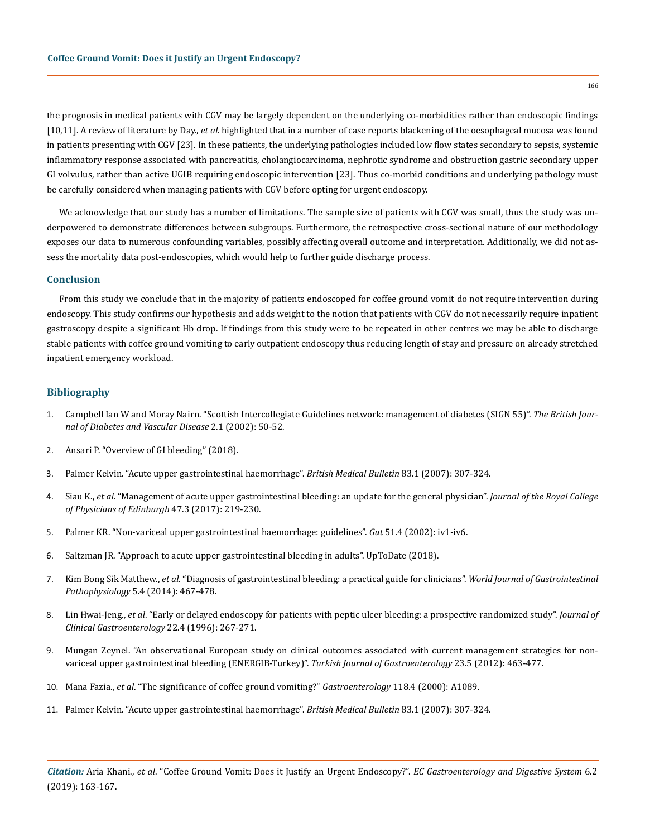the prognosis in medical patients with CGV may be largely dependent on the underlying co-morbidities rather than endoscopic findings [10,11]. A review of literature by Day., *et al.* highlighted that in a number of case reports blackening of the oesophageal mucosa was found in patients presenting with CGV [23]. In these patients, the underlying pathologies included low flow states secondary to sepsis, systemic inflammatory response associated with pancreatitis, cholangiocarcinoma, nephrotic syndrome and obstruction gastric secondary upper GI volvulus, rather than active UGIB requiring endoscopic intervention [23]. Thus co-morbid conditions and underlying pathology must be carefully considered when managing patients with CGV before opting for urgent endoscopy.

We acknowledge that our study has a number of limitations. The sample size of patients with CGV was small, thus the study was underpowered to demonstrate differences between subgroups. Furthermore, the retrospective cross-sectional nature of our methodology exposes our data to numerous confounding variables, possibly affecting overall outcome and interpretation. Additionally, we did not assess the mortality data post-endoscopies, which would help to further guide discharge process.

# **Conclusion**

From this study we conclude that in the majority of patients endoscoped for coffee ground vomit do not require intervention during endoscopy. This study confirms our hypothesis and adds weight to the notion that patients with CGV do not necessarily require inpatient gastroscopy despite a significant Hb drop. If findings from this study were to be repeated in other centres we may be able to discharge stable patients with coffee ground vomiting to early outpatient endoscopy thus reducing length of stay and pressure on already stretched inpatient emergency workload.

#### **Bibliography**

- 1. [Campbell Ian W and Moray Nairn. "Scottish Intercollegiate Guidelines network: management of diabetes \(SIGN 55\)".](https://www.researchgate.net/publication/244920709_Scottish_Intercollegiate_Guidelines_Network_management_of_diabetes_SIGN_55) *The British Jour[nal of Diabetes and Vascular Disease](https://www.researchgate.net/publication/244920709_Scottish_Intercollegiate_Guidelines_Network_management_of_diabetes_SIGN_55)* 2.1 (2002): 50-52.
- 2. [Ansari P. "Overview of GI bleeding" \(2018\).](http://www.msdmanuals.com/home/digestive-disorders/gastrointestinal-bleeding/gastrointestinal-bleeding)
- 3. [Palmer Kelvin. "Acute upper gastrointestinal haemorrhage".](https://www.ncbi.nlm.nih.gov/pubmed/17942452) *British Medical Bulletin* 83.1 (2007): 307-324.
- 4. Siau K., *et al*[. "Management of acute upper gastrointestinal bleeding: an update for the general physician".](https://www.ncbi.nlm.nih.gov/pubmed/29465096) *Journal of the Royal College [of Physicians of Edinburgh](https://www.ncbi.nlm.nih.gov/pubmed/29465096)* 47.3 (2017): 219-230.
- 5. [Palmer KR. "Non-variceal upper gastrointestinal haemorrhage: guidelines".](https://www.ncbi.nlm.nih.gov/pmc/articles/PMC1867732/) *Gut* 51.4 (2002): iv1-iv6.
- 6. [Saltzman JR. "Approach to acute upper gastrointestinal bleeding in adults". UpToDate \(2018\).](http://www.uptodate.com/contents/approach-to-acute-upper-gastrointestinal-bleeding-in-adults)
- 7. Kim Bong Sik Matthew., *et al*[. "Diagnosis of gastrointestinal bleeding: a practical guide for clinicians".](https://www.ncbi.nlm.nih.gov/pmc/articles/PMC4231512/) *World Journal of Gastrointestinal Pathophysiology* [5.4 \(2014\): 467-478.](https://www.ncbi.nlm.nih.gov/pmc/articles/PMC4231512/)
- 8. Lin Hwai-Jeng., *et al*[. "Early or delayed endoscopy for patients with peptic ulcer bleeding: a prospective randomized study".](https://www.ncbi.nlm.nih.gov/pubmed/8771420) *Journal of [Clinical Gastroenterology](https://www.ncbi.nlm.nih.gov/pubmed/8771420)* 22.4 (1996): 267-271.
- 9. [Mungan Zeynel. "An observational European study on clinical outcomes associated with current management strategies for non](https://www.ncbi.nlm.nih.gov/pubmed/23161291)[variceal upper gastrointestinal bleeding \(ENERGIB-Turkey\)".](https://www.ncbi.nlm.nih.gov/pubmed/23161291) *Turkish Journal of Gastroenterology* 23.5 (2012): 463-477.
- 10. Mana Fazia., *et al*[. "The significance of coffee ground vomiting?"](https://www.gastrojournal.org/article/S0016-5085(00)80153-5/pdf) *Gastroenterology* 118.4 (2000): A1089.
- 11. [Palmer Kelvin. "Acute upper gastrointestinal haemorrhage".](https://academic.oup.com/bmb/article/83/1/307/386560) *British Medical Bulletin* 83.1 (2007): 307-324.

*Citation:* Aria Khani., *et al*. "Coffee Ground Vomit: Does it Justify an Urgent Endoscopy?". *EC Gastroenterology and Digestive System* 6.2 (2019): 163-167.